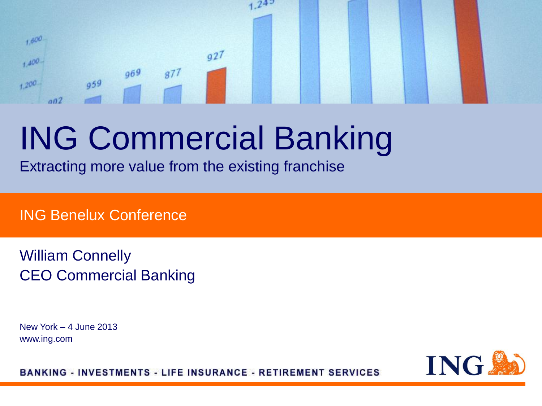#### $1,600$  $q27$  $+400 969$  $877$  $959$  $+200$  $002$

## ING Commercial Banking

Extracting more value from the existing franchise

ING Benelux Conference

William Connelly CEO Commercial Banking

New York – 4 June 2013 www.ing.com

ING.

**BANKING - INVESTMENTS - LIFE INSURANCE - RETIREMENT SERVICES**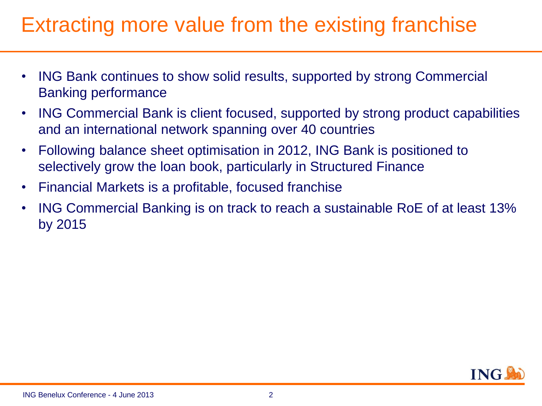### Extracting more value from the existing franchise

- ING Bank continues to show solid results, supported by strong Commercial Banking performance
- ING Commercial Bank is client focused, supported by strong product capabilities and an international network spanning over 40 countries
- Following balance sheet optimisation in 2012, ING Bank is positioned to selectively grow the loan book, particularly in Structured Finance
- Financial Markets is a profitable, focused franchise
- ING Commercial Banking is on track to reach a sustainable RoE of at least 13% by 2015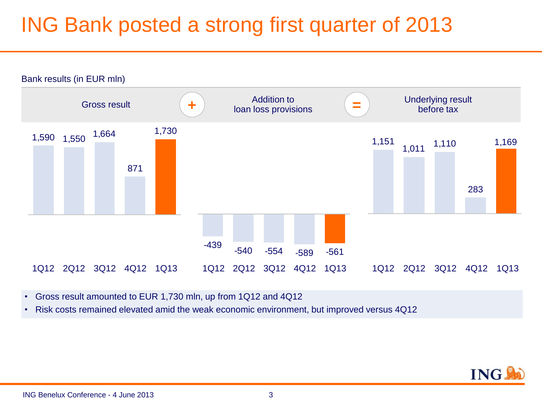### ING Bank posted a strong first quarter of 2013



• Gross result amounted to EUR 1,730 mln, up from 1Q12 and 4Q12

• Risk costs remained elevated amid the weak economic environment, but improved versus 4Q12

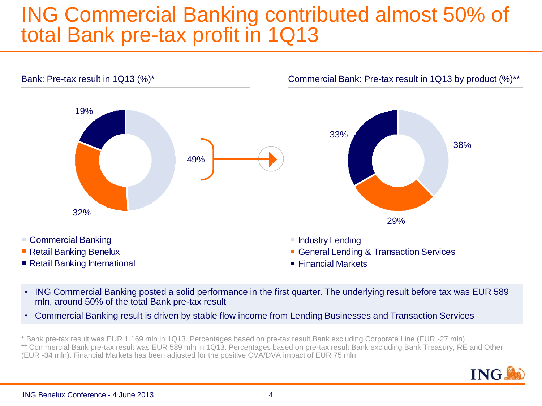#### **ING Commercial Banking contributed almost 50% of** total Bank pre-tax profit in 1Q13



- ING Commercial Banking posted a solid performance in the first quarter. The underlying result before tax was EUR 589 mln, around 50% of the total Bank pre-tax result
- Commercial Banking result is driven by stable flow income from Lending Businesses and Transaction Services

\* Bank pre-tax result was EUR 1,169 mln in 1Q13. Percentages based on pre-tax result Bank excluding Corporate Line (EUR -27 mln) \*\* Commercial Bank pre-tax result was EUR 589 mln in 1Q13. Percentages based on pre-tax result Bank excluding Bank Treasury, RE and Other (EUR -34 mln). Financial Markets has been adjusted for the positive CVA/DVA impact of EUR 75 mln

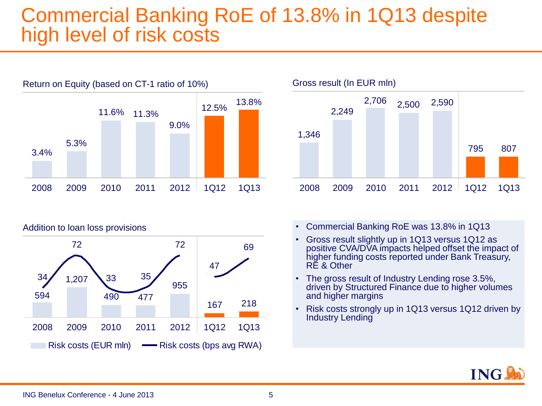#### Commercial Banking RoE of 13.8% in 1Q13 despite high level of risk costs









- Commercial Banking RoE was 13.8% in 1Q13
- Gross result slightly up in 1Q13 versus 1Q12 as positive CVA/DVA impacts helped offset the impact of higher funding costs reported under Bank Treasury, RE & Other
- The gross result of Industry Lending rose 3.5%, driven by Structured Finance due to higher volumes and higher margins
- Risk costs strongly up in 1Q13 versus 1Q12 driven by Industry Lending

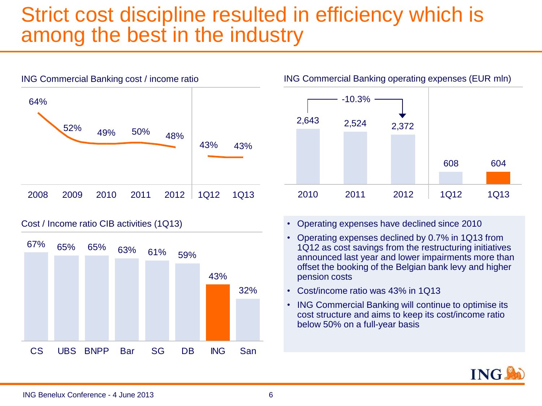#### Strict cost discipline resulted in efficiency which is among the best in the industry



Cost / Income ratio CIB activities (1Q13)





- Operating expenses have declined since 2010
- Operating expenses declined by 0.7% in 1Q13 from 1Q12 as cost savings from the restructuring initiatives announced last year and lower impairments more than offset the booking of the Belgian bank levy and higher pension costs
- Cost/income ratio was 43% in 1Q13
- ING Commercial Banking will continue to optimise its cost structure and aims to keep its cost/income ratio below 50% on a full-year basis

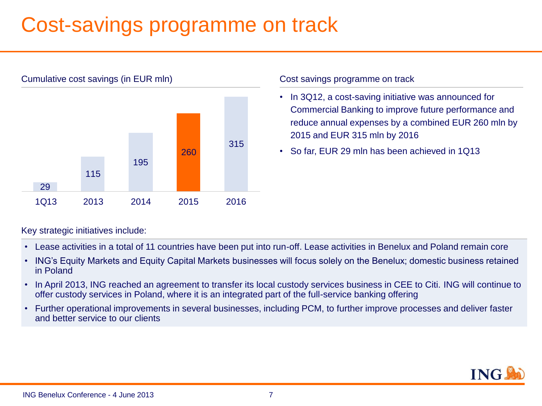### Cost-savings programme on track



#### Cumulative cost savings (in EUR mln)

#### Cost savings programme on track

- In 3Q12, a cost-saving initiative was announced for Commercial Banking to improve future performance and reduce annual expenses by a combined EUR 260 mln by 2015 and EUR 315 mln by 2016
- So far, EUR 29 mln has been achieved in 1Q13

Key strategic initiatives include:

- Lease activities in a total of 11 countries have been put into run-off. Lease activities in Benelux and Poland remain core
- ING's Equity Markets and Equity Capital Markets businesses will focus solely on the Benelux; domestic business retained in Poland
- In April 2013, ING reached an agreement to transfer its local custody services business in CEE to Citi. ING will continue to offer custody services in Poland, where it is an integrated part of the full-service banking offering
- Further operational improvements in several businesses, including PCM, to further improve processes and deliver faster and better service to our clients

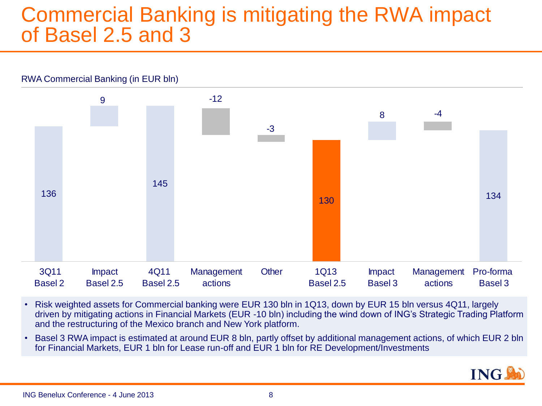#### Commercial Banking is mitigating the RWA impact of Basel 2.5 and 3



- Risk weighted assets for Commercial banking were EUR 130 bln in 1Q13, down by EUR 15 bln versus 4Q11, largely driven by mitigating actions in Financial Markets (EUR -10 bln) including the wind down of ING's Strategic Trading Platform and the restructuring of the Mexico branch and New York platform.
- Basel 3 RWA impact is estimated at around EUR 8 bln, partly offset by additional management actions, of which EUR 2 bln for Financial Markets, EUR 1 bln for Lease run-off and EUR 1 bln for RE Development/Investments

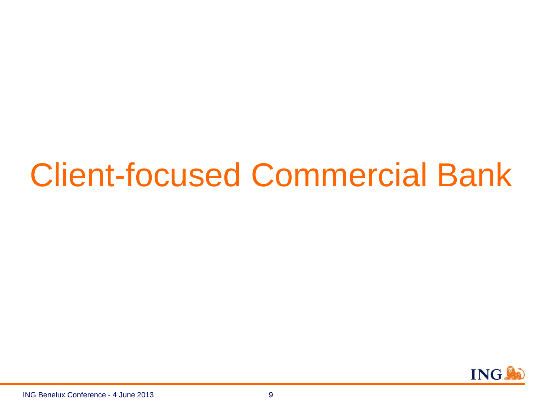## Client-focused Commercial Bank

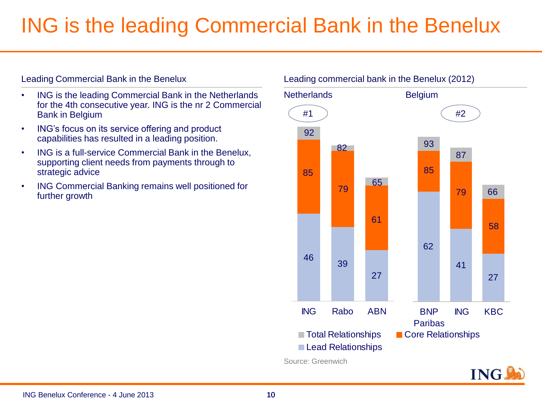### ING is the leading Commercial Bank in the Benelux

#### Leading Commercial Bank in the Benelux

- ING is the leading Commercial Bank in the Netherlands for the 4th consecutive year. ING is the nr 2 Commercial Bank in Belgium
- ING's focus on its service offering and product capabilities has resulted in a leading position.
- ING is a full-service Commercial Bank in the Benelux, supporting client needs from payments through to strategic advice
- ING Commercial Banking remains well positioned for further growth

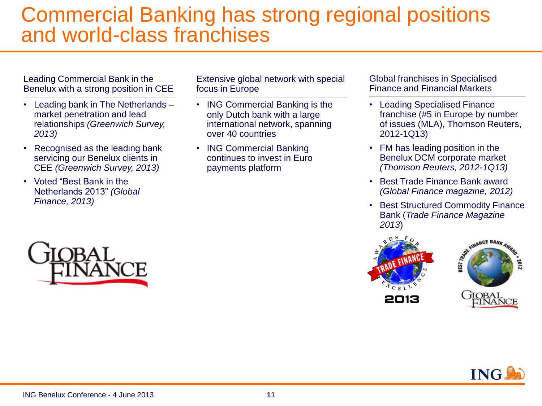#### Commercial Banking has strong regional positions and world-class franchises

Leading Commercial Bank in the Benelux with a strong position in CEE

- Leading bank in The Netherlands market penetration and lead relationships *(Greenwich Survey, 2013)*
- Recognised as the leading bank servicing our Benelux clients in CEE *(Greenwich Survey, 2013)*
- Voted "Best Bank in the Netherlands 2013" *(Global Finance, 2013)*

Extensive global network with special focus in Europe

- ING Commercial Banking is the only Dutch bank with a large international network, spanning over 40 countries
- ING Commercial Banking continues to invest in Euro payments platform

Global franchises in Specialised Finance and Financial Markets

- Leading Specialised Finance franchise (#5 in Europe by number of issues (MLA), Thomson Reuters, 2012-1Q13)
- FM has leading position in the Benelux DCM corporate market *(Thomson Reuters, 2012-1Q13)*
- Best Trade Finance Bank award *(Global Finance magazine, 2012)*
- Best Structured Commodity Finance Bank (*Trade Finance Magazine 2013*)





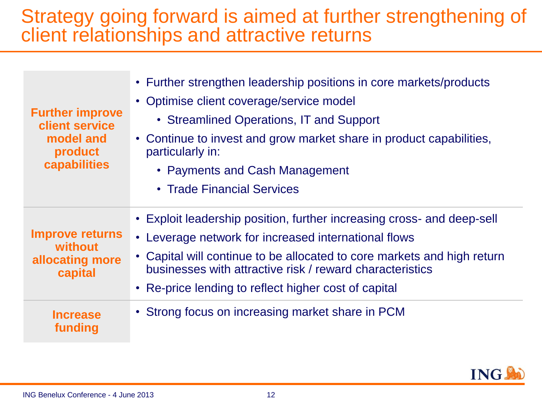#### Strategy going forward is aimed at further strengthening of client relationships and attractive returns

| <b>Further improve</b><br>client service<br>model and<br>product<br>capabilities | • Further strengthen leadership positions in core markets/products<br>• Optimise client coverage/service model<br>• Streamlined Operations, IT and Support<br>• Continue to invest and grow market share in product capabilities,<br>particularly in:<br>• Payments and Cash Management<br>• Trade Financial Services         |  |
|----------------------------------------------------------------------------------|-------------------------------------------------------------------------------------------------------------------------------------------------------------------------------------------------------------------------------------------------------------------------------------------------------------------------------|--|
| <b>Improve returns</b><br>without<br>allocating more<br>capital                  | • Exploit leadership position, further increasing cross- and deep-sell<br>• Leverage network for increased international flows<br>• Capital will continue to be allocated to core markets and high return<br>businesses with attractive risk / reward characteristics<br>• Re-price lending to reflect higher cost of capital |  |
| <b>Increase</b><br>funding                                                       | • Strong focus on increasing market share in PCM                                                                                                                                                                                                                                                                              |  |

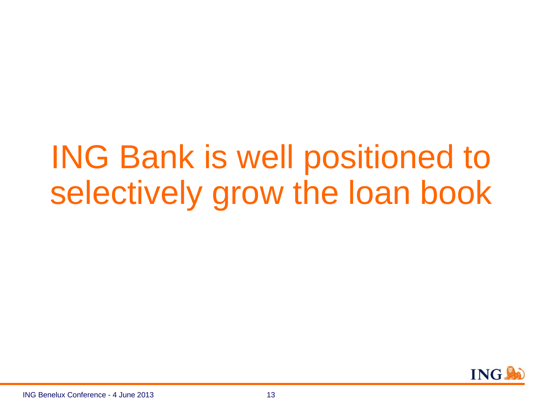# ING Bank is well positioned to selectively grow the loan book

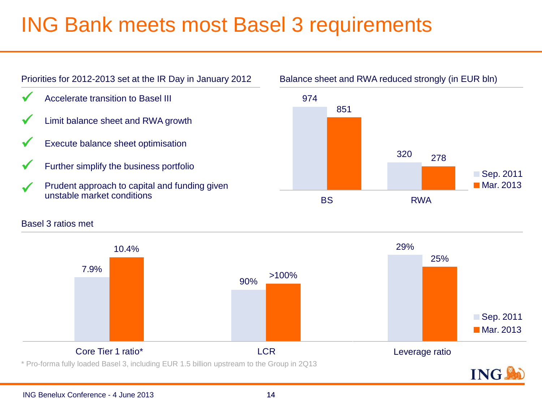### ING Bank meets most Basel 3 requirements



#### Basel 3 ratios met

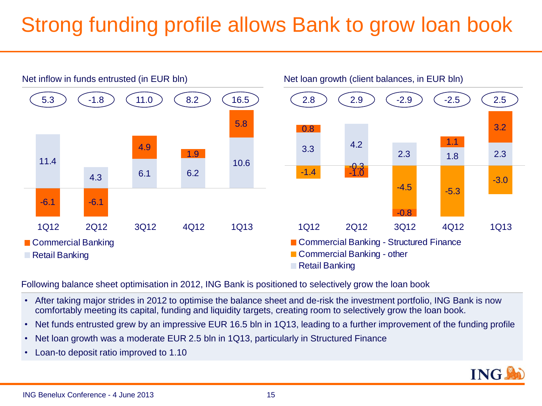## Strong funding profile allows Bank to grow loan book



Following balance sheet optimisation in 2012, ING Bank is positioned to selectively grow the loan book

- After taking major strides in 2012 to optimise the balance sheet and de-risk the investment portfolio, ING Bank is now comfortably meeting its capital, funding and liquidity targets, creating room to selectively grow the loan book.
- Net funds entrusted grew by an impressive EUR 16.5 bln in 1Q13, leading to a further improvement of the funding profile
- Net loan growth was a moderate EUR 2.5 bln in 1Q13, particularly in Structured Finance
- Loan-to deposit ratio improved to 1.10

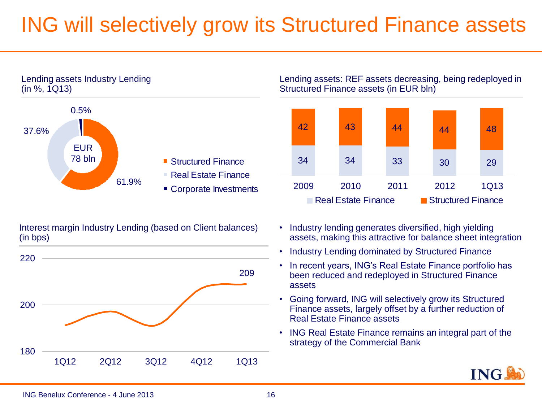### ING will selectively grow its Structured Finance assets





Interest margin Industry Lending (based on Client balances) (in bps)



Lending assets: REF assets decreasing, being redeployed in Structured Finance assets (in EUR bln)



- Industry lending generates diversified, high yielding assets, making this attractive for balance sheet integration
- Industry Lending dominated by Structured Finance
- In recent years, ING's Real Estate Finance portfolio has been reduced and redeployed in Structured Finance assets
- Going forward, ING will selectively grow its Structured Finance assets, largely offset by a further reduction of Real Estate Finance assets
- ING Real Estate Finance remains an integral part of the strategy of the Commercial Bank

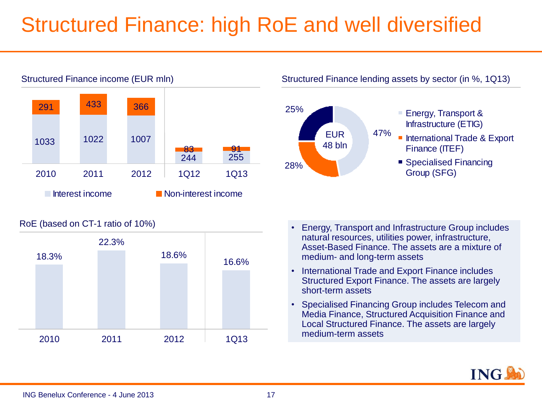### Structured Finance: high RoE and well diversified



RoE (based on CT-1 ratio of 10%)



Structured Finance lending assets by sector (in %, 1Q13)



- Energy, Transport & Infrastructure (ETIG)
- International Trade & Export Finance (ITEF)
- Specialised Financing Group (SFG)

- Energy, Transport and Infrastructure Group includes natural resources, utilities power, infrastructure, Asset-Based Finance. The assets are a mixture of medium- and long-term assets
- International Trade and Export Finance includes Structured Export Finance. The assets are largely short-term assets
- Specialised Financing Group includes Telecom and Media Finance, Structured Acquisition Finance and Local Structured Finance. The assets are largely medium-term assets

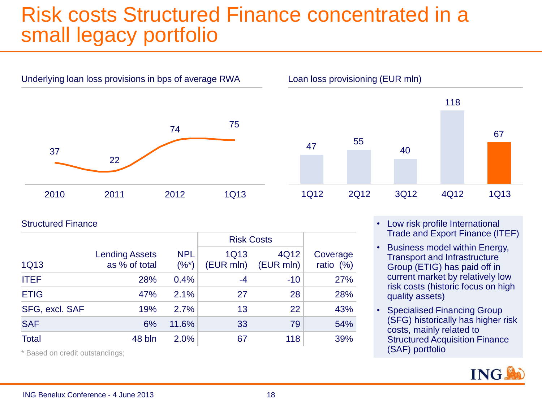#### Risk costs Structured Finance concentrated in a small legacy portfolio



Underlying loan loss provisions in bps of average RWA Loan loss provisioning (EUR mln)



Structured Finance

|                |                                        |                        | <b>Risk Costs</b>        |                   |                         |
|----------------|----------------------------------------|------------------------|--------------------------|-------------------|-------------------------|
| 1Q13           | <b>Lending Assets</b><br>as % of total | <b>NPL</b><br>$(\%^*)$ | <b>1Q13</b><br>(EUR mln) | 4Q12<br>(EUR mln) | Coverage<br>ratio $(%)$ |
| <b>ITEF</b>    | 28%                                    | 0.4%                   | -4                       | $-10$             | 27%                     |
| <b>ETIG</b>    | 47%                                    | 2.1%                   | 27                       | 28                | 28%                     |
| SFG, excl. SAF | 19%                                    | 2.7%                   | 13                       | 22                | 43%                     |
| <b>SAF</b>     | 6%                                     | 11.6%                  | 33                       | 79                | 54%                     |
| <b>Total</b>   | 48 bln                                 | 2.0%                   | 67                       | 118               | 39%                     |

\* Based on credit outstandings;

- Low risk profile International Trade and Export Finance (ITEF)
- Business model within Energy, Transport and Infrastructure Group (ETIG) has paid off in current market by relatively low risk costs (historic focus on high quality assets)
- Specialised Financing Group (SFG) historically has higher risk costs, mainly related to Structured Acquisition Finance (SAF) portfolio

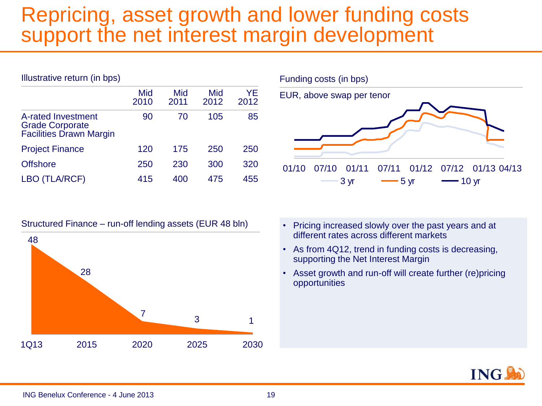#### Repricing, asset growth and lower funding costs support the net interest margin development

| Illustrative return (in bps)                                                   |             |             |             |            |  |  |
|--------------------------------------------------------------------------------|-------------|-------------|-------------|------------|--|--|
|                                                                                | Mid<br>2010 | Mid<br>2011 | Mid<br>2012 | YF<br>2012 |  |  |
| A-rated Investment<br><b>Grade Corporate</b><br><b>Facilities Drawn Margin</b> | 90          | 70          | 105         | 85         |  |  |
| <b>Project Finance</b>                                                         | 120         | 175         | 250         | 250        |  |  |
| <b>Offshore</b>                                                                | 250         | 230         | 300         | 320        |  |  |
| (TLA/RCF)                                                                      | 415         | 400         | 475         | 455        |  |  |

Structured Finance – run-off lending assets (EUR 48 bln) • Pricing increased slowly over the past years and at





- different rates across different markets
- As from 4Q12, trend in funding costs is decreasing, supporting the Net Interest Margin
- Asset growth and run-off will create further (re)pricing opportunities

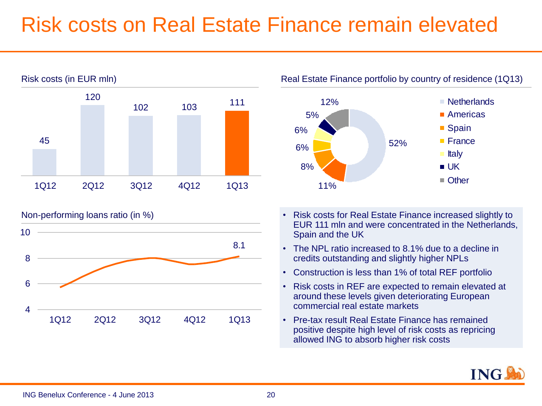### Risk costs on Real Estate Finance remain elevated



8.1 4 6 8 10 1Q12 2Q12 3Q12 4Q12 1Q13



- Non-performing loans ratio (in %)  $\bullet$  Risk costs for Real Estate Finance increased slightly to EUR 111 mln and were concentrated in the Netherlands, Spain and the UK
	- The NPL ratio increased to 8.1% due to a decline in credits outstanding and slightly higher NPLs
	- Construction is less than 1% of total REF portfolio
	- Risk costs in REF are expected to remain elevated at around these levels given deteriorating European commercial real estate markets
	- Pre-tax result Real Estate Finance has remained positive despite high level of risk costs as repricing allowed ING to absorb higher risk costs

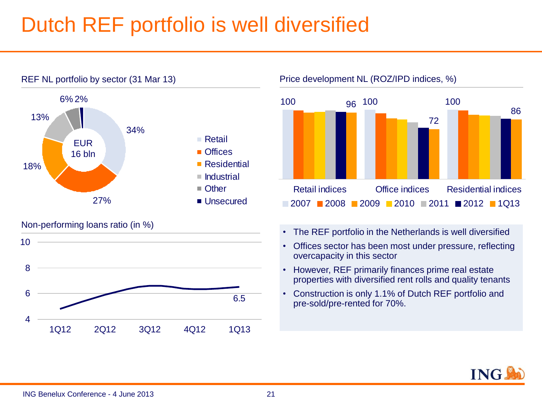### Dutch REF portfolio is well diversified



#### Non-performing loans ratio (in %)



REF NL portfolio by sector (31 Mar 13) Price development NL (ROZ/IPD indices, %)



- The REF portfolio in the Netherlands is well diversified
- Offices sector has been most under pressure, reflecting overcapacity in this sector
- However, REF primarily finances prime real estate properties with diversified rent rolls and quality tenants
- Construction is only 1.1% of Dutch REF portfolio and pre-sold/pre-rented for 70%.

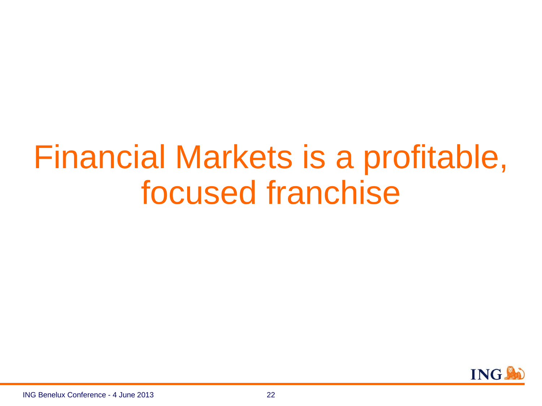## Financial Markets is a profitable, focused franchise

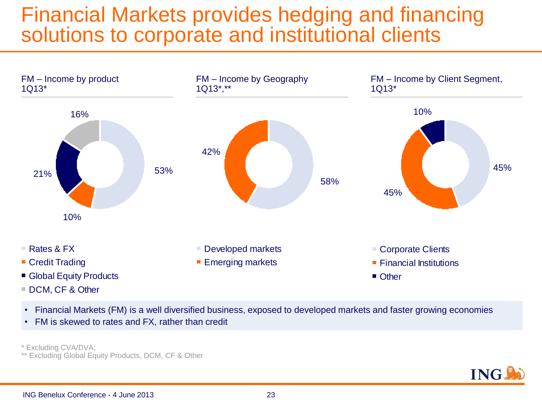#### Financial Markets provides hedging and financing solutions to corporate and institutional clients



- Financial Markets (FM) is a well diversified business, exposed to developed markets and faster growing economies
- FM is skewed to rates and FX, rather than credit

\* Excluding CVA/DVA;

\*\* Excluding Global Equity Products, DCM, CF & Other

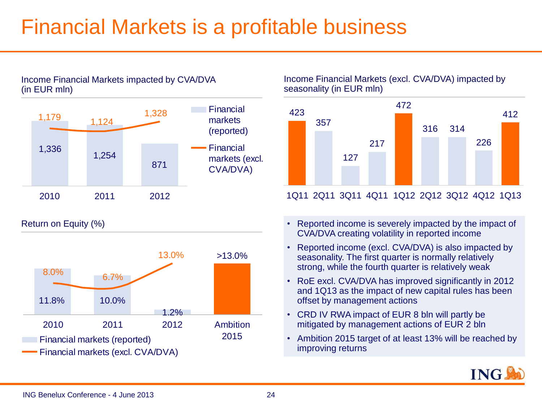### Financial Markets is a profitable business





Return on Equity (%)



Income Financial Markets (excl. CVA/DVA) impacted by seasonality (in EUR mln)



#### 1Q11 2Q11 3Q11 4Q11 1Q12 2Q12 3Q12 4Q12 1Q13

- Reported income is severely impacted by the impact of CVA/DVA creating volatility in reported income
- Reported income (excl. CVA/DVA) is also impacted by seasonality. The first quarter is normally relatively strong, while the fourth quarter is relatively weak
- RoE excl. CVA/DVA has improved significantly in 2012 and 1Q13 as the impact of new capital rules has been offset by management actions
- CRD IV RWA impact of EUR 8 bln will partly be mitigated by management actions of EUR 2 bln
- Ambition 2015 target of at least 13% will be reached by improving returns

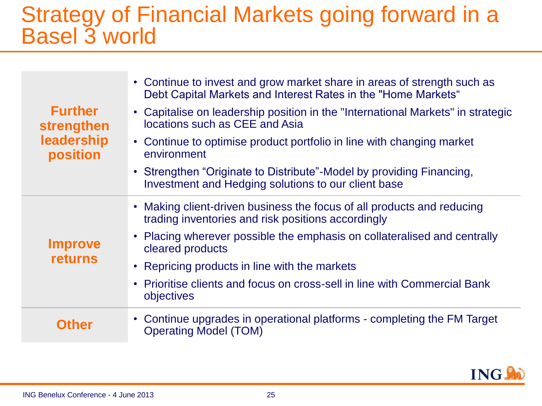#### Strategy of Financial Markets going forward in a Basel 3 world

| <b>Further</b><br>strengthen<br>leadership<br>position | • Continue to invest and grow market share in areas of strength such as<br>Debt Capital Markets and Interest Rates in the "Home Markets" |
|--------------------------------------------------------|------------------------------------------------------------------------------------------------------------------------------------------|
|                                                        | • Capitalise on leadership position in the "International Markets" in strategic<br>locations such as CEE and Asia                        |
|                                                        | • Continue to optimise product portfolio in line with changing market<br>environment                                                     |
|                                                        | • Strengthen "Originate to Distribute"-Model by providing Financing,<br>Investment and Hedging solutions to our client base              |
| <b>Improve</b><br><b>returns</b>                       | Making client-driven business the focus of all products and reducing<br>trading inventories and risk positions accordingly               |
|                                                        | Placing wherever possible the emphasis on collateralised and centrally<br>cleared products                                               |
|                                                        | • Repricing products in line with the markets                                                                                            |
|                                                        | • Prioritise clients and focus on cross-sell in line with Commercial Bank<br>objectives                                                  |
| <b>Other</b>                                           | • Continue upgrades in operational platforms - completing the FM Target<br><b>Operating Model (TOM)</b>                                  |

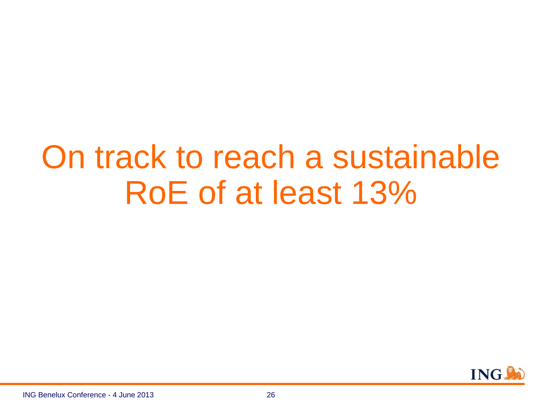## On track to reach a sustainable RoE of at least 13%

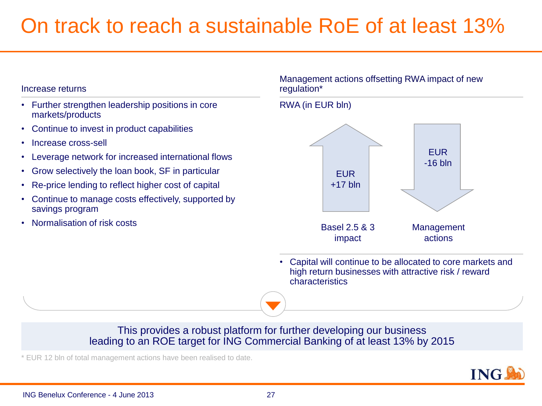### On track to reach a sustainable RoE of at least 13%

RWA (in EUR bln)

#### Increase returns

- Further strengthen leadership positions in core markets/products
- Continue to invest in product capabilities
- Increase cross-sell
- Leverage network for increased international flows
- Grow selectively the loan book, SF in particular
- Re-price lending to reflect higher cost of capital
- Continue to manage costs effectively, supported by savings program
- Normalisation of risk costs

#### Management actions offsetting RWA impact of new regulation\*

#### **EUR**  $+17$  bln EUR -16 bln Basel 2.5 & 3 impact Management actions

• Capital will continue to be allocated to core markets and high return businesses with attractive risk / reward characteristics

#### This provides a robust platform for further developing our business leading to an ROE target for ING Commercial Banking of at least 13% by 2015

\* EUR 12 bln of total management actions have been realised to date.